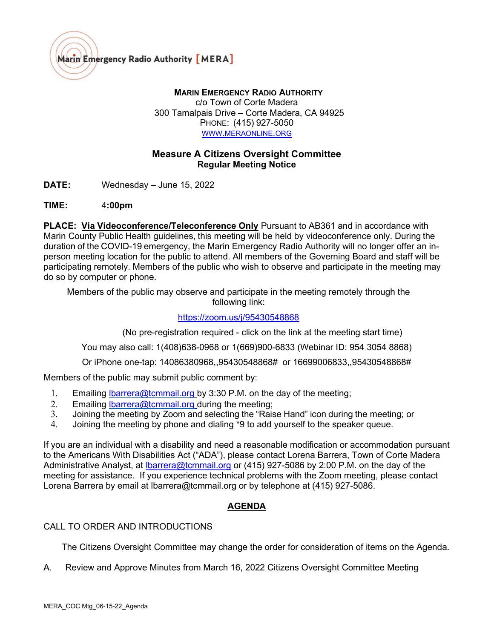

# MARIN EMERGENCY RADIO AUTHORITY

c/o Town of Corte Madera 300 Tamalpais Drive – Corte Madera, CA 94925 PHONE: (415) 927-5050 WWW.[MERAONLINE](https://www.meraonline.org/).ORG

# Measure A Citizens Oversight Committee Regular Meeting Notice

DATE: Wednesday – June 15, 2022

### TIME: 4:00pm

PLACE: Via Videoconference/Teleconference Only Pursuant to AB361 and in accordance with Marin County Public Health guidelines, this meeting will be held by videoconference only. During the duration of the COVID-19 emergency, the Marin Emergency Radio Authority will no longer offer an inperson meeting location for the public to attend. All members of the Governing Board and staff will be participating remotely. Members of the public who wish to observe and participate in the meeting may do so by computer or phone.

Members of the public may observe and participate in the meeting remotely through the following link:

### <https://zoom.us/j/95430548868>

(No pre-registration required - click on the link at the meeting start time)

You may also call: 1(408)638-0968 or 1(669)900-6833 (Webinar ID: 954 3054 8868)

Or iPhone one-tap: 14086380968,,95430548868# or 16699006833,,95430548868#

Members of the public may submit public comment by:

- 1. Emailing *Ibarrera@tcmmail.org* by 3:30 P.M. on the day of the meeting;
- 2. Emailing Ibarrera@tcmmail.org during the meeting;
- 3. Joining the meeting by Zoom and selecting the "Raise Hand" icon during the meeting; or
- 4. Joining the meeting by phone and dialing \*9 to add yourself to the speaker queue.

If you are an individual with a disability and need a reasonable modification or accommodation pursuant to the Americans With Disabilities Act ("ADA"), please contact Lorena Barrera, Town of Corte Madera Administrative Analyst, at **Ibarrera@tcmmail.org** or (415) 927-5086 by 2:00 P.M. on the day of the meeting for assistance. If you experience technical problems with the Zoom meeting, please contact Lorena Barrera by email at lbarrera@tcmmail.org or by telephone at (415) 927-5086.

### AGENDA

#### CALL TO ORDER AND INTRODUCTIONS

The Citizens Oversight Committee may change the order for consideration of items on the Agenda.

A. Review and Approve Minutes from March 16, 2022 Citizens Oversight Committee Meeting